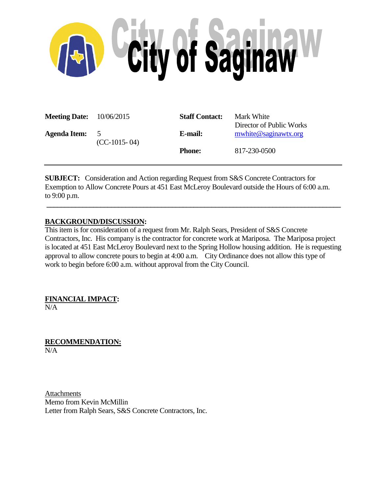

| <b>Meeting Date:</b> $10/06/2015$ |                                  | <b>Staff Contact:</b> | Mark White<br>Director of Public Works |
|-----------------------------------|----------------------------------|-----------------------|----------------------------------------|
| <b>Agenda Item:</b>               | $\overline{5}$<br>$(CC-1015-04)$ | E-mail:               | mwhite@saginawtx.org                   |
|                                   |                                  | <b>Phone:</b>         | 817-230-0500                           |

**SUBJECT:** Consideration and Action regarding Request from S&S Concrete Contractors for Exemption to Allow Concrete Pours at 451 East McLeroy Boulevard outside the Hours of 6:00 a.m. to 9:00 p.m.

## **BACKGROUND/DISCUSSION:**

This item is for consideration of a request from Mr. Ralph Sears, President of S&S Concrete Contractors, Inc. His company is the contractor for concrete work at Mariposa. The Mariposa project is located at 451 East McLeroy Boulevard next to the Spring Hollow housing addition. He is requesting approval to allow concrete pours to begin at 4:00 a.m. City Ordinance does not allow this type of work to begin before 6:00 a.m. without approval from the City Council.

**\_\_\_\_\_\_\_\_\_\_\_\_\_\_\_\_\_\_\_\_\_\_\_\_\_\_\_\_\_\_\_\_\_\_\_\_\_\_\_\_\_\_\_\_\_\_\_\_\_\_\_\_\_\_\_\_\_\_\_\_\_\_\_\_\_\_\_\_\_\_\_\_\_\_\_\_\_\_\_\_\_\_**

**FINANCIAL IMPACT:** N/A

**RECOMMENDATION:** N/A

Attachments Memo from Kevin McMillin Letter from Ralph Sears, S&S Concrete Contractors, Inc.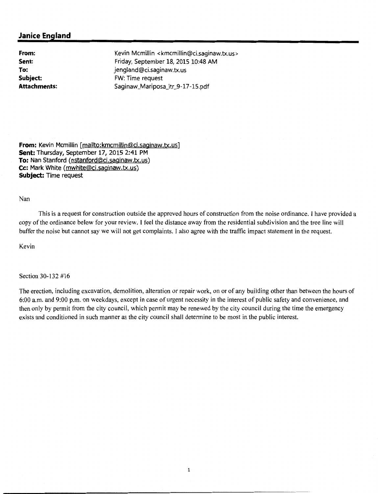## **Janice England**

**From: Sent: To: Subject: Attachments:** 

Kevin Mcmillin <kmcmillin@ci.saginaw.tx.us> Friday, September 18, 2015 10:48 AM jengland@ci.saginaw.tx.us FW: Time request Saginaw\_Mariposa\_ltr \_9-17 -15.pdf

**From:** Kevin Mcmillin [mailto:kmcmillin@ci.saginaw.tx.us] Sent: Thursday, September 17, 2015 2:41 PM **To:** Nan Stanford (nstanford@ci.saginaw.tx.us) **Cc:** Mark White (mwhite@ci.saginaw.tx.us) **Subject:** Time request

Nan

This is a request for construction outside the approved hours of construction from the noise ordinance. I have provided a copy of the ordinance below for your review. I feel the distance away from the residential subdivision and the tree line will buffer the noise but cannot say we will not get complaints. I also agree with the traffic impact statement in the request.

Kevin

Section 30-132 #16

The erection, including excavation, demolition, alteration or repair work, on or of any building other than between the hours of  $6:00$  a.m. and  $9:00$  p.m. on weekdays, except in case of urgent necessity in the interest of public safety and convenience, and then only by permit from the city council, which permit may be renewed by the city council during the time the emergency exists and conditioned in such manner as the city council shall determine to be most in the public interest.